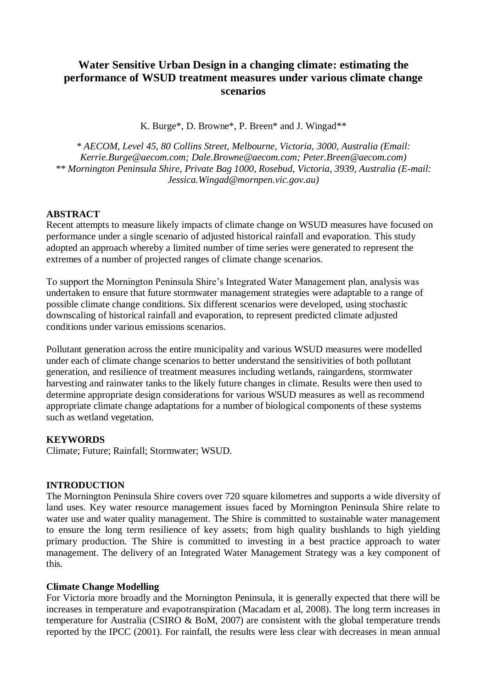# **Water Sensitive Urban Design in a changing climate: estimating the performance of WSUD treatment measures under various climate change scenarios**

K. Burge\*, D. Browne\*, P. Breen\* and J. Wingad\*\*

*\* AECOM, Level 45, 80 Collins Street, Melbourne, Victoria, 3000, Australia (Email: Kerrie.Burge@aecom.com; [Dale.Browne@aecom.com;](mailto:Dale.Browne@aecom.com) Peter.Breen@aecom.com) \*\* Mornington Peninsula Shire, Private Bag 1000, Rosebud, Victoria, 3939, Australia (E-mail: Jessica.Wingad@mornpen.vic.gov.au)*

### **ABSTRACT**

Recent attempts to measure likely impacts of climate change on WSUD measures have focused on performance under a single scenario of adjusted historical rainfall and evaporation. This study adopted an approach whereby a limited number of time series were generated to represent the extremes of a number of projected ranges of climate change scenarios.

To support the Mornington Peninsula Shire's Integrated Water Management plan, analysis was undertaken to ensure that future stormwater management strategies were adaptable to a range of possible climate change conditions. Six different scenarios were developed, using stochastic downscaling of historical rainfall and evaporation, to represent predicted climate adjusted conditions under various emissions scenarios.

Pollutant generation across the entire municipality and various WSUD measures were modelled under each of climate change scenarios to better understand the sensitivities of both pollutant generation, and resilience of treatment measures including wetlands, raingardens, stormwater harvesting and rainwater tanks to the likely future changes in climate. Results were then used to determine appropriate design considerations for various WSUD measures as well as recommend appropriate climate change adaptations for a number of biological components of these systems such as wetland vegetation.

### **KEYWORDS**

Climate; Future; Rainfall; Stormwater; WSUD.

#### **INTRODUCTION**

The Mornington Peninsula Shire covers over 720 square kilometres and supports a wide diversity of land uses. Key water resource management issues faced by Mornington Peninsula Shire relate to water use and water quality management. The Shire is committed to sustainable water management to ensure the long term resilience of key assets; from high quality bushlands to high yielding primary production. The Shire is committed to investing in a best practice approach to water management. The delivery of an Integrated Water Management Strategy was a key component of this.

### **Climate Change Modelling**

For Victoria more broadly and the Mornington Peninsula, it is generally expected that there will be increases in temperature and evapotranspiration (Macadam et al, 2008). The long term increases in temperature for Australia (CSIRO & BoM, 2007) are consistent with the global temperature trends reported by the IPCC (2001). For rainfall, the results were less clear with decreases in mean annual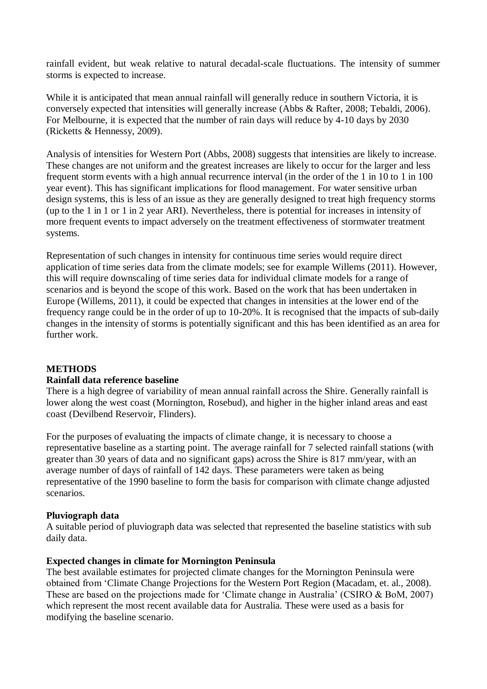rainfall evident, but weak relative to natural decadal-scale fluctuations. The intensity of summer storms is expected to increase.

While it is anticipated that mean annual rainfall will generally reduce in southern Victoria, it is conversely expected that intensities will generally increase (Abbs & Rafter, 2008; Tebaldi, 2006). For Melbourne, it is expected that the number of rain days will reduce by 4-10 days by 2030 (Ricketts & Hennessy, 2009).

Analysis of intensities for Western Port (Abbs, 2008) suggests that intensities are likely to increase. These changes are not uniform and the greatest increases are likely to occur for the larger and less frequent storm events with a high annual recurrence interval (in the order of the 1 in 10 to 1 in 100 year event). This has significant implications for flood management. For water sensitive urban design systems, this is less of an issue as they are generally designed to treat high frequency storms (up to the 1 in 1 or 1 in 2 year ARI). Nevertheless, there is potential for increases in intensity of more frequent events to impact adversely on the treatment effectiveness of stormwater treatment systems.

Representation of such changes in intensity for continuous time series would require direct application of time series data from the climate models; see for example Willems (2011). However, this will require downscaling of time series data for individual climate models for a range of scenarios and is beyond the scope of this work. Based on the work that has been undertaken in Europe (Willems, 2011), it could be expected that changes in intensities at the lower end of the frequency range could be in the order of up to 10-20%. It is recognised that the impacts of sub-daily changes in the intensity of storms is potentially significant and this has been identified as an area for further work.

### **METHODS**

#### **Rainfall data reference baseline**

There is a high degree of variability of mean annual rainfall across the Shire. Generally rainfall is lower along the west coast (Mornington, Rosebud), and higher in the higher inland areas and east coast (Devilbend Reservoir, Flinders).

For the purposes of evaluating the impacts of climate change, it is necessary to choose a representative baseline as a starting point. The average rainfall for 7 selected rainfall stations (with greater than 30 years of data and no significant gaps) across the Shire is 817 mm/year, with an average number of days of rainfall of 142 days. These parameters were taken as being representative of the 1990 baseline to form the basis for comparison with climate change adjusted scenarios.

### **Pluviograph data**

A suitable period of pluviograph data was selected that represented the baseline statistics with sub daily data.

### **Expected changes in climate for Mornington Peninsula**

The best available estimates for projected climate changes for the Mornington Peninsula were obtained from 'Climate Change Projections for the Western Port Region (Macadam, et. al., 2008). These are based on the projections made for 'Climate change in Australia' (CSIRO & BoM, 2007) which represent the most recent available data for Australia. These were used as a basis for modifying the baseline scenario.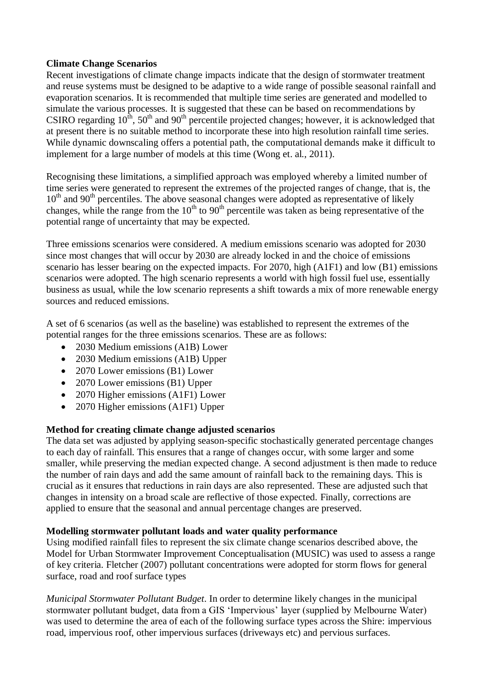## **Climate Change Scenarios**

Recent investigations of climate change impacts indicate that the design of stormwater treatment and reuse systems must be designed to be adaptive to a wide range of possible seasonal rainfall and evaporation scenarios. It is recommended that multiple time series are generated and modelled to simulate the various processes. It is suggested that these can be based on recommendations by CSIRO regarding  $10^{th}$ ,  $50^{th}$  and  $90^{th}$  percentile projected changes; however, it is acknowledged that at present there is no suitable method to incorporate these into high resolution rainfall time series. While dynamic downscaling offers a potential path, the computational demands make it difficult to implement for a large number of models at this time (Wong et. al., 2011).

Recognising these limitations, a simplified approach was employed whereby a limited number of time series were generated to represent the extremes of the projected ranges of change, that is, the  $10<sup>th</sup>$  and 90<sup>th</sup> percentiles. The above seasonal changes were adopted as representative of likely changes, while the range from the  $10<sup>th</sup>$  to  $90<sup>th</sup>$  percentile was taken as being representative of the potential range of uncertainty that may be expected.

Three emissions scenarios were considered. A medium emissions scenario was adopted for 2030 since most changes that will occur by 2030 are already locked in and the choice of emissions scenario has lesser bearing on the expected impacts. For 2070, high (A1F1) and low (B1) emissions scenarios were adopted. The high scenario represents a world with high fossil fuel use, essentially business as usual, while the low scenario represents a shift towards a mix of more renewable energy sources and reduced emissions.

A set of 6 scenarios (as well as the baseline) was established to represent the extremes of the potential ranges for the three emissions scenarios. These are as follows:

- 2030 Medium emissions (A1B) Lower
- 2030 Medium emissions (A1B) Upper
- 2070 Lower emissions (B1) Lower
- 2070 Lower emissions (B1) Upper
- 2070 Higher emissions (A1F1) Lower
- 2070 Higher emissions (A1F1) Upper

## **Method for creating climate change adjusted scenarios**

The data set was adjusted by applying season-specific stochastically generated percentage changes to each day of rainfall. This ensures that a range of changes occur, with some larger and some smaller, while preserving the median expected change. A second adjustment is then made to reduce the number of rain days and add the same amount of rainfall back to the remaining days. This is crucial as it ensures that reductions in rain days are also represented. These are adjusted such that changes in intensity on a broad scale are reflective of those expected. Finally, corrections are applied to ensure that the seasonal and annual percentage changes are preserved.

### **Modelling stormwater pollutant loads and water quality performance**

Using modified rainfall files to represent the six climate change scenarios described above, the Model for Urban Stormwater Improvement Conceptualisation (MUSIC) was used to assess a range of key criteria. Fletcher (2007) pollutant concentrations were adopted for storm flows for general surface, road and roof surface types

*Municipal Stormwater Pollutant Budget*. In order to determine likely changes in the municipal stormwater pollutant budget, data from a GIS 'Impervious' layer (supplied by Melbourne Water) was used to determine the area of each of the following surface types across the Shire: impervious road, impervious roof, other impervious surfaces (driveways etc) and pervious surfaces.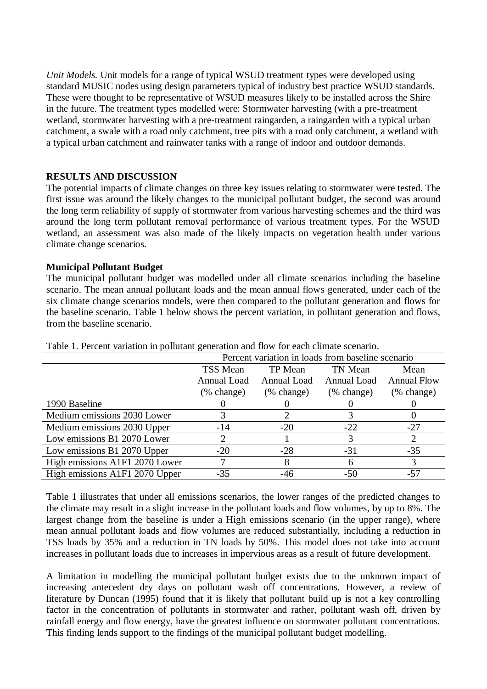*Unit Models.* Unit models for a range of typical WSUD treatment types were developed using standard MUSIC nodes using design parameters typical of industry best practice WSUD standards. These were thought to be representative of WSUD measures likely to be installed across the Shire in the future. The treatment types modelled were: Stormwater harvesting (with a pre-treatment wetland, stormwater harvesting with a pre-treatment raingarden, a raingarden with a typical urban catchment, a swale with a road only catchment, tree pits with a road only catchment, a wetland with a typical urban catchment and rainwater tanks with a range of indoor and outdoor demands.

## **RESULTS AND DISCUSSION**

The potential impacts of climate changes on three key issues relating to stormwater were tested. The first issue was around the likely changes to the municipal pollutant budget, the second was around the long term reliability of supply of stormwater from various harvesting schemes and the third was around the long term pollutant removal performance of various treatment types. For the WSUD wetland, an assessment was also made of the likely impacts on vegetation health under various climate change scenarios.

## **Municipal Pollutant Budget**

The municipal pollutant budget was modelled under all climate scenarios including the baseline scenario. The mean annual pollutant loads and the mean annual flows generated, under each of the six climate change scenarios models, were then compared to the pollutant generation and flows for the baseline scenario. [Table 1](#page-3-0) below shows the percent variation, in pollutant generation and flows, from the baseline scenario.

|                                | Percent variation in loads from baseline scenario |                       |             |                    |
|--------------------------------|---------------------------------------------------|-----------------------|-------------|--------------------|
|                                | TSS Mean                                          | TP Mean               | TN Mean     |                    |
|                                | Annual Load                                       | <b>Annual Load</b>    | Annual Load | <b>Annual Flow</b> |
|                                | (% change)                                        | $(\% \text{ change})$ | (% change)  | (% change)         |
| 1990 Baseline                  |                                                   |                       |             |                    |
| Medium emissions 2030 Lower    |                                                   |                       |             |                    |
| Medium emissions 2030 Upper    | $-14$                                             | $-20$                 | $-22$       | $-27$              |
| Low emissions B1 2070 Lower    |                                                   |                       |             |                    |
| Low emissions B1 2070 Upper    | $-20$                                             | $-28$                 | $-31$       | $-35$              |
| High emissions A1F1 2070 Lower |                                                   |                       |             |                    |
| High emissions A1F1 2070 Upper | $-35$                                             | -46                   | $-50$       | -57                |

<span id="page-3-0"></span>Table 1. Percent variation in pollutant generation and flow for each climate scenario.

[Table 1](#page-3-0) illustrates that under all emissions scenarios, the lower ranges of the predicted changes to the climate may result in a slight increase in the pollutant loads and flow volumes, by up to 8%. The largest change from the baseline is under a High emissions scenario (in the upper range), where mean annual pollutant loads and flow volumes are reduced substantially, including a reduction in TSS loads by 35% and a reduction in TN loads by 50%. This model does not take into account increases in pollutant loads due to increases in impervious areas as a result of future development.

A limitation in modelling the municipal pollutant budget exists due to the unknown impact of increasing antecedent dry days on pollutant wash off concentrations. However, a review of literature by Duncan (1995) found that it is likely that pollutant build up is not a key controlling factor in the concentration of pollutants in stormwater and rather, pollutant wash off, driven by rainfall energy and flow energy, have the greatest influence on stormwater pollutant concentrations. This finding lends support to the findings of the municipal pollutant budget modelling.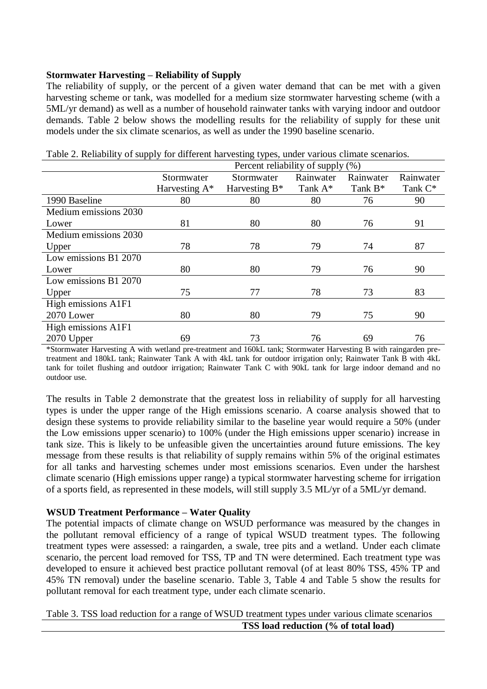## **Stormwater Harvesting – Reliability of Supply**

The reliability of supply, or the percent of a given water demand that can be met with a given harvesting scheme or tank, was modelled for a medium size stormwater harvesting scheme (with a 5ML/yr demand) as well as a number of household rainwater tanks with varying indoor and outdoor demands. [Table 2](#page-4-0) below shows the modelling results for the reliability of supply for these unit models under the six climate scenarios, as well as under the 1990 baseline scenario.

|                       | Percent reliability of supply (%) |                  |            |            |           |
|-----------------------|-----------------------------------|------------------|------------|------------|-----------|
|                       | Stormwater                        | Stormwater       | Rainwater  | Rainwater  | Rainwater |
|                       | Harvesting A*                     | Harvesting $B^*$ | Tank $A^*$ | Tank $B^*$ | Tank C*   |
| 1990 Baseline         | 80                                | 80               | 80         | 76         | 90        |
| Medium emissions 2030 |                                   |                  |            |            |           |
| Lower                 | 81                                | 80               | 80         | 76         | 91        |
| Medium emissions 2030 |                                   |                  |            |            |           |
| Upper                 | 78                                | 78               | 79         | 74         | 87        |
| Low emissions B1 2070 |                                   |                  |            |            |           |
| Lower                 | 80                                | 80               | 79         | 76         | 90        |
| Low emissions B1 2070 |                                   |                  |            |            |           |
| Upper                 | 75                                | 77               | 78         | 73         | 83        |
| High emissions A1F1   |                                   |                  |            |            |           |
| 2070 Lower            | 80                                | 80               | 79         | 75         | 90        |
| High emissions A1F1   |                                   |                  |            |            |           |
| 2070 Upper            | 69                                | 73               | 76         | 69         | 76        |

<span id="page-4-0"></span>Table 2. Reliability of supply for different harvesting types, under various climate scenarios.

\*Stormwater Harvesting A with wetland pre-treatment and 160kL tank; Stormwater Harvesting B with raingarden pretreatment and 180kL tank; Rainwater Tank A with 4kL tank for outdoor irrigation only; Rainwater Tank B with 4kL tank for toilet flushing and outdoor irrigation; Rainwater Tank C with 90kL tank for large indoor demand and no outdoor use.

The results in [Table 2](#page-4-0) demonstrate that the greatest loss in reliability of supply for all harvesting types is under the upper range of the High emissions scenario. A coarse analysis showed that to design these systems to provide reliability similar to the baseline year would require a 50% (under the Low emissions upper scenario) to 100% (under the High emissions upper scenario) increase in tank size. This is likely to be unfeasible given the uncertainties around future emissions. The key message from these results is that reliability of supply remains within 5% of the original estimates for all tanks and harvesting schemes under most emissions scenarios. Even under the harshest climate scenario (High emissions upper range) a typical stormwater harvesting scheme for irrigation of a sports field, as represented in these models, will still supply 3.5 ML/yr of a 5ML/yr demand.

### **WSUD Treatment Performance – Water Quality**

The potential impacts of climate change on WSUD performance was measured by the changes in the pollutant removal efficiency of a range of typical WSUD treatment types. The following treatment types were assessed: a raingarden, a swale, tree pits and a wetland. Under each climate scenario, the percent load removed for TSS, TP and TN were determined. Each treatment type was developed to ensure it achieved best practice pollutant removal (of at least 80% TSS, 45% TP and 45% TN removal) under the baseline scenario. [Table 3,](#page-4-1) [Table 4](#page-5-0) and [Table 5](#page-5-1) show the results for pollutant removal for each treatment type, under each climate scenario.

<span id="page-4-2"></span><span id="page-4-1"></span>Table 3. TSS load reduction for a range of WSUD treatment types under various climate scenarios **TSS load reduction (% of total load)**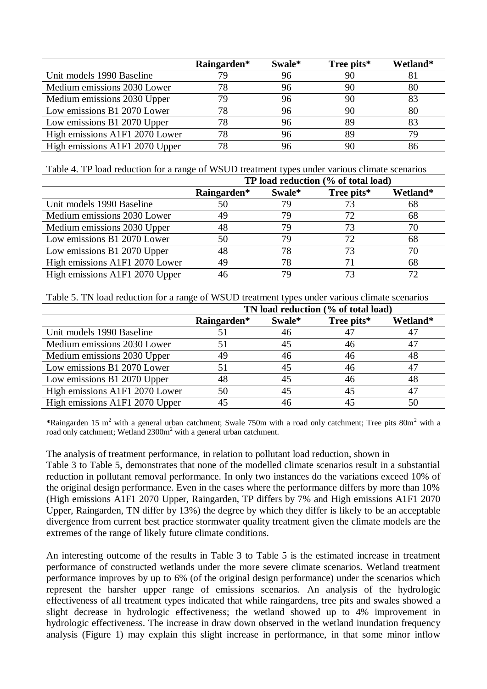|                                | Raingarden* | Swale* | Tree pits* | Wetland* |
|--------------------------------|-------------|--------|------------|----------|
| Unit models 1990 Baseline      |             | 96     |            |          |
| Medium emissions 2030 Lower    | 78          | 96     | 90         | 80       |
| Medium emissions 2030 Upper    | 79          | 96     | 90         | 83       |
| Low emissions B1 2070 Lower    | 78          | 96     | 90         | 80       |
| Low emissions B1 2070 Upper    | 78          | 96     | 89         |          |
| High emissions A1F1 2070 Lower | 78          | 96     | 89         | 79       |
| High emissions A1F1 2070 Upper |             |        |            | 86       |

<span id="page-5-0"></span>Table 4. TP load reduction for a range of WSUD treatment types under various climate scenarios

|                                | TP load reduction (% of total load) |        |            |          |
|--------------------------------|-------------------------------------|--------|------------|----------|
|                                | Raingarden*                         | Swale* | Tree pits* | Wetland* |
| Unit models 1990 Baseline      |                                     | 79     |            | 68       |
| Medium emissions 2030 Lower    | 49                                  | 79     |            | 68       |
| Medium emissions 2030 Upper    | 48                                  | 79     | 73         | 70       |
| Low emissions B1 2070 Lower    | 50                                  | 79     | 72         | 68       |
| Low emissions B1 2070 Upper    | 48                                  | 78     | 73         | 70       |
| High emissions A1F1 2070 Lower | 49                                  | 78     |            | 68       |
| High emissions A1F1 2070 Upper |                                     | 79     |            |          |

<span id="page-5-1"></span>Table 5. TN load reduction for a range of WSUD treatment types under various climate scenarios

|                                | TN load reduction (% of total load) |        |            |          |
|--------------------------------|-------------------------------------|--------|------------|----------|
|                                | Raingarden*                         | Swale* | Tree pits* | Wetland* |
| Unit models 1990 Baseline      |                                     | 46     |            |          |
| Medium emissions 2030 Lower    |                                     |        | 46         |          |
| Medium emissions 2030 Upper    | 49                                  | 46     | 46         | 48       |
| Low emissions B1 2070 Lower    | 51                                  | 45     | 46         | 47       |
| Low emissions B1 2070 Upper    | 48                                  | 45     | 46         | 48       |
| High emissions A1F1 2070 Lower | 50                                  |        |            |          |
| High emissions A1F1 2070 Upper |                                     |        |            |          |

**\***Raingarden 15 m<sup>2</sup> with a general urban catchment; Swale 750m with a road only catchment; Tree pits 80m<sup>2</sup> with a road only catchment; Wetland 2300m<sup>2</sup> with a general urban catchment.

The analysis of treatment performance, in relation to pollutant load reduction, shown in

[Table 3](#page-4-2) to [Table 5,](#page-5-1) demonstrates that none of the modelled climate scenarios result in a substantial reduction in pollutant removal performance. In only two instances do the variations exceed 10% of the original design performance. Even in the cases where the performance differs by more than 10% (High emissions A1F1 2070 Upper, Raingarden, TP differs by 7% and High emissions A1F1 2070 Upper, Raingarden, TN differ by 13%) the degree by which they differ is likely to be an acceptable divergence from current best practice stormwater quality treatment given the climate models are the extremes of the range of likely future climate conditions.

An interesting outcome of the results in [Table 3](#page-4-1) to [Table 5](#page-5-1) is the estimated increase in treatment performance of constructed wetlands under the more severe climate scenarios. Wetland treatment performance improves by up to 6% (of the original design performance) under the scenarios which represent the harsher upper range of emissions scenarios. An analysis of the hydrologic effectiveness of all treatment types indicated that while raingardens, tree pits and swales showed a slight decrease in hydrologic effectiveness; the wetland showed up to 4% improvement in hydrologic effectiveness. The increase in draw down observed in the wetland inundation frequency analysis (Figure 1) may explain this slight increase in performance, in that some minor inflow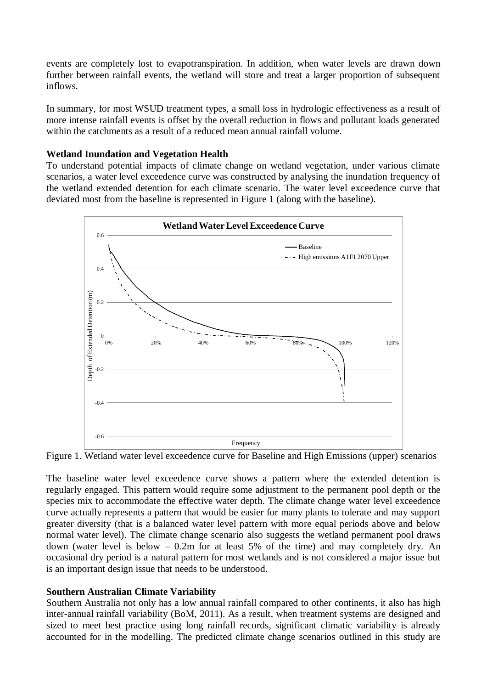events are completely lost to evapotranspiration. In addition, when water levels are drawn down further between rainfall events, the wetland will store and treat a larger proportion of subsequent inflows.

In summary, for most WSUD treatment types, a small loss in hydrologic effectiveness as a result of more intense rainfall events is offset by the overall reduction in flows and pollutant loads generated within the catchments as a result of a reduced mean annual rainfall volume.

### **Wetland Inundation and Vegetation Health**

To understand potential impacts of climate change on wetland vegetation, under various climate scenarios, a water level exceedence curve was constructed by analysing the inundation frequency of the wetland extended detention for each climate scenario. The water level exceedence curve that deviated most from the baseline is represented in [Figure 1](#page-6-0) (along with the baseline).



<span id="page-6-0"></span>Figure 1. Wetland water level exceedence curve for Baseline and High Emissions (upper) scenarios

The baseline water level exceedence curve shows a pattern where the extended detention is regularly engaged. This pattern would require some adjustment to the permanent pool depth or the species mix to accommodate the effective water depth. The climate change water level exceedence curve actually represents a pattern that would be easier for many plants to tolerate and may support greater diversity (that is a balanced water level pattern with more equal periods above and below normal water level). The climate change scenario also suggests the wetland permanent pool draws down (water level is below – 0.2m for at least 5% of the time) and may completely dry. An occasional dry period is a natural pattern for most wetlands and is not considered a major issue but is an important design issue that needs to be understood.

### **Southern Australian Climate Variability**

Southern Australia not only has a low annual rainfall compared to other continents, it also has high inter-annual rainfall variability (BoM, 2011). As a result, when treatment systems are designed and sized to meet best practice using long rainfall records, significant climatic variability is already accounted for in the modelling. The predicted climate change scenarios outlined in this study are